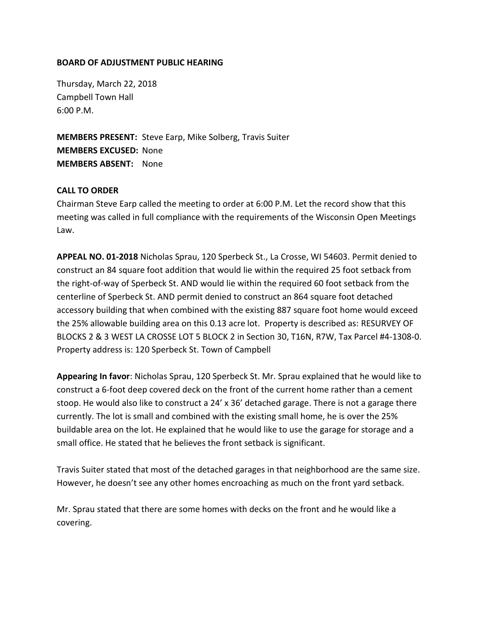## **BOARD OF ADJUSTMENT PUBLIC HEARING**

Thursday, March 22, 2018 Campbell Town Hall 6:00 P.M.

**MEMBERS PRESENT:** Steve Earp, Mike Solberg, Travis Suiter **MEMBERS EXCUSED:** None **MEMBERS ABSENT:** None

## **CALL TO ORDER**

Chairman Steve Earp called the meeting to order at 6:00 P.M. Let the record show that this meeting was called in full compliance with the requirements of the Wisconsin Open Meetings Law.

**APPEAL NO. 01-2018** Nicholas Sprau, 120 Sperbeck St., La Crosse, WI 54603. Permit denied to construct an 84 square foot addition that would lie within the required 25 foot setback from the right-of-way of Sperbeck St. AND would lie within the required 60 foot setback from the centerline of Sperbeck St. AND permit denied to construct an 864 square foot detached accessory building that when combined with the existing 887 square foot home would exceed the 25% allowable building area on this 0.13 acre lot. Property is described as: RESURVEY OF BLOCKS 2 & 3 WEST LA CROSSE LOT 5 BLOCK 2 in Section 30, T16N, R7W, Tax Parcel #4-1308-0. Property address is: 120 Sperbeck St. Town of Campbell

**Appearing In favor**: Nicholas Sprau, 120 Sperbeck St. Mr. Sprau explained that he would like to construct a 6-foot deep covered deck on the front of the current home rather than a cement stoop. He would also like to construct a 24' x 36' detached garage. There is not a garage there currently. The lot is small and combined with the existing small home, he is over the 25% buildable area on the lot. He explained that he would like to use the garage for storage and a small office. He stated that he believes the front setback is significant.

Travis Suiter stated that most of the detached garages in that neighborhood are the same size. However, he doesn't see any other homes encroaching as much on the front yard setback.

Mr. Sprau stated that there are some homes with decks on the front and he would like a covering.